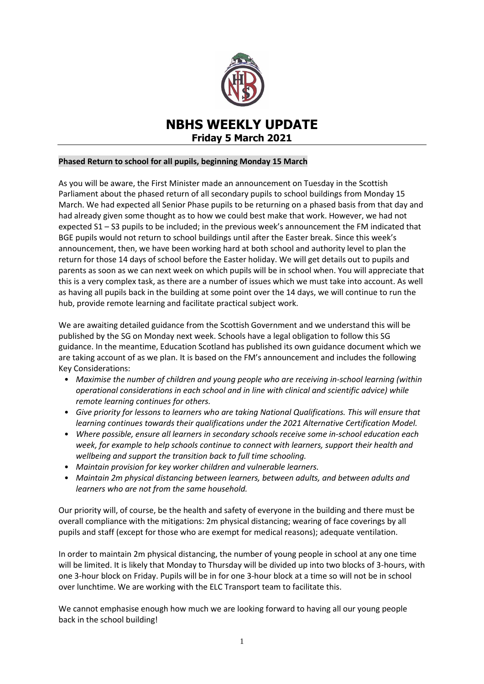

# **NBHS WEEKLY UPDATE Friday 5 March 2021**

### **Phased Return to school for all pupils, beginning Monday 15 March**

As you will be aware, the First Minister made an announcement on Tuesday in the Scottish Parliament about the phased return of all secondary pupils to school buildings from Monday 15 March. We had expected all Senior Phase pupils to be returning on a phased basis from that day and had already given some thought as to how we could best make that work. However, we had not expected S1 – S3 pupils to be included; in the previous week's announcement the FM indicated that BGE pupils would not return to school buildings until after the Easter break. Since this week's announcement, then, we have been working hard at both school and authority level to plan the return for those 14 days of school before the Easter holiday. We will get details out to pupils and parents as soon as we can next week on which pupils will be in school when. You will appreciate that this is a very complex task, as there are a number of issues which we must take into account. As well as having all pupils back in the building at some point over the 14 days, we will continue to run the hub, provide remote learning and facilitate practical subject work.

We are awaiting detailed guidance from the Scottish Government and we understand this will be published by the SG on Monday next week. Schools have a legal obligation to follow this SG guidance. In the meantime, Education Scotland has published its own guidance document which we are taking account of as we plan. It is based on the FM's announcement and includes the following Key Considerations:

- *Maximise the number of children and young people who are receiving in-school learning (within operational considerations in each school and in line with clinical and scientific advice) while remote learning continues for others.*
- *Give priority for lessons to learners who are taking National Qualifications. This will ensure that learning continues towards their qualifications under the 2021 Alternative Certification Model.*
- *Where possible, ensure all learners in secondary schools receive some in-school education each week, for example to help schools continue to connect with learners, support their health and wellbeing and support the transition back to full time schooling.*
- *Maintain provision for key worker children and vulnerable learners.*
- *Maintain 2m physical distancing between learners, between adults, and between adults and learners who are not from the same household.*

Our priority will, of course, be the health and safety of everyone in the building and there must be overall compliance with the mitigations: 2m physical distancing; wearing of face coverings by all pupils and staff (except for those who are exempt for medical reasons); adequate ventilation.

In order to maintain 2m physical distancing, the number of young people in school at any one time will be limited. It is likely that Monday to Thursday will be divided up into two blocks of 3-hours, with one 3-hour block on Friday. Pupils will be in for one 3-hour block at a time so will not be in school over lunchtime. We are working with the ELC Transport team to facilitate this.

We cannot emphasise enough how much we are looking forward to having all our young people back in the school building!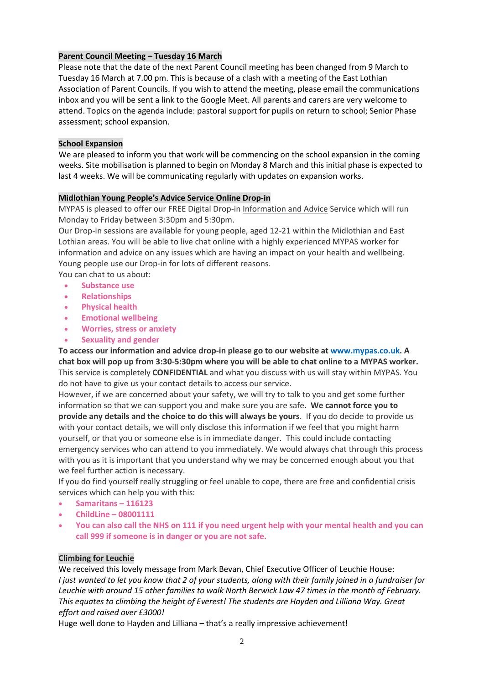# **Parent Council Meeting – Tuesday 16 March**

Please note that the date of the next Parent Council meeting has been changed from 9 March to Tuesday 16 March at 7.00 pm. This is because of a clash with a meeting of the East Lothian Association of Parent Councils. If you wish to attend the meeting, please email the communications inbox and you will be sent a link to the Google Meet. All parents and carers are very welcome to attend. Topics on the agenda include: pastoral support for pupils on return to school; Senior Phase assessment; school expansion.

### **School Expansion**

We are pleased to inform you that work will be commencing on the school expansion in the coming weeks. Site mobilisation is planned to begin on Monday 8 March and this initial phase is expected to last 4 weeks. We will be communicating regularly with updates on expansion works.

### **Midlothian Young People's Advice Service Online Drop-in**

MYPAS is pleased to offer our FREE Digital Drop-in Information and Advice Service which will run Monday to Friday between 3:30pm and 5:30pm.

Our Drop-in sessions are available for young people, aged 12-21 within the Midlothian and East Lothian areas. You will be able to live chat online with a highly experienced MYPAS worker for information and advice on any issues which are having an impact on your health and wellbeing. Young people use our Drop-in for lots of different reasons.

You can chat to us about:

- **Substance use**
- **Relationships**
- **Physical health**
- **Emotional wellbeing**
- **Worries, stress or anxiety**
- **Sexuality and gender**

**To access our information and advice drop-in please go to our website at [www.mypas.co.uk.](http://www.mypas.co.uk/) A** chat box will pop up from 3:30-5:30pm where you will be able to chat online to a MYPAS worker. This service is completely **CONFIDENTIAL** and what you discuss with us will stay within MYPAS. You do not have to give us your contact details to access our service.

However, if we are concerned about your safety, we will try to talk to you and get some further information so that we can support you and make sure you are safe. **We cannot force you to provide any details and the choice to do this will always be yours**.If you do decide to provide us with your contact details, we will only disclose this information if we feel that you might harm yourself, or that you or someone else is in immediate danger. This could include contacting emergency services who can attend to you immediately. We would always chat through this process with you as it is important that you understand why we may be concerned enough about you that we feel further action is necessary.

If you do find yourself really struggling or feel unable to cope, there are free and confidential crisis services which can help you with this:

- **Samaritans – 116123**
- **ChildLine – 08001111**
- **You can also call the NHS on 111 if you need urgent help with your mental health and you can call 999 if someone is in danger or you are not safe.**

# **Climbing for Leuchie**

We received this lovely message from Mark Bevan, Chief Executive Officer of Leuchie House: *I just wanted to let you know that 2 of your students, along with their family joined in a fundraiser for Leuchie with around 15 other families to walk North Berwick Law 47 times in the month of February. This equates to climbing the height of Everest! The students are Hayden and Lilliana Way. Great effort and raised over £3000!*

Huge well done to Hayden and Lilliana – that's a really impressive achievement!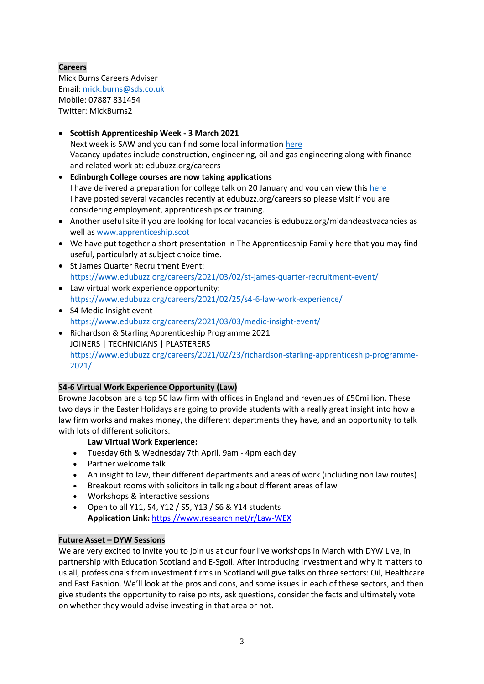# **Careers**

Mick Burns Careers Adviser Email: [mick.burns@sds.co.uk](https://mail.elcschool.org.uk/owa/redir.aspx?C=fbGa3DGVrsUoQB2CnJP23eXwMGzxu7J1CtarT6dTOwkq_NlpJujXCA..&URL=mailto%3amick.burns%40sds.co.uk) Mobile: 07887 831454 Twitter: MickBurns2

# **Scottish Apprenticeship Week - 3 March 2021**

Next week is SAW and you can find some local information [here](https://www.edubuzz.org/careers/2021/02/23/scottish-apprenticeship-week-events-2021/) Vacancy updates include construction, engineering, oil and gas engineering along with finance and related work at: edubuzz.org/careers

- **Edinburgh College courses are now taking applications** I have delivered a preparation for college talk on 20 January and you can view this [here](https://www.edubuzz.org/careers/2017/12/06/applying-for-college-2018/) I have posted several vacancies recently at edubuzz.org/careers so please visit if you are considering employment, apprenticeships or training.
- Another useful site if you are looking for local vacancies is edubuzz.org/midandeastvacancies as well as [www.apprenticeship.scot](http://www.apprenticeship.scot/)
- We have put together a short presentation in The Apprenticeship Family [here](https://www.edubuzz.org/careers/2021/01/21/apprenticeship-family/) that you may find useful, particularly at subject choice time.
- St James Quarter Recruitment Event: <https://www.edubuzz.org/careers/2021/03/02/st-james-quarter-recruitment-event/>
- Law virtual work experience opportunity: <https://www.edubuzz.org/careers/2021/02/25/s4-6-law-work-experience/>
- S4 Medic Insight event <https://www.edubuzz.org/careers/2021/03/03/medic-insight-event/>
- Richardson & Starling Apprenticeship Programme 2021 JOINERS | TECHNICIANS | PLASTERERS [https://www.edubuzz.org/careers/2021/02/23/richardson-starling-apprenticeship-programme-](https://www.edubuzz.org/careers/2021/02/23/richardson-starling-apprenticeship-programme-2021/)[2021/](https://www.edubuzz.org/careers/2021/02/23/richardson-starling-apprenticeship-programme-2021/)

# **S4-6 Virtual Work Experience Opportunity (Law)**

Browne Jacobson are a top 50 law firm with offices in England and revenues of £50million. These two days in the Easter Holidays are going to provide students with a really great insight into how a law firm works and makes money, the different departments they have, and an opportunity to talk with lots of different solicitors.

# **Law Virtual Work Experience:**

- Tuesday 6th & Wednesday 7th April, 9am 4pm each day
- Partner welcome talk
- An insight to law, their different departments and areas of work (including non law routes)
- Breakout rooms with solicitors in talking about different areas of law
- Workshops & interactive sessions
- Open to all Y11, S4, Y12 / S5, Y13 / S6 & Y14 students **Application Link:** [https://www.research.net/r/Law-WEX](https://mail.elcschool.org.uk/owa/redir.aspx?C=5a1cnwlqLtKCIS0TLBN94PQPucwCLdXOiWpyRYqwR-AnpuzCidnYCA..&URL=https%3a%2f%2fwww.research.net%2fr%2fLaw-WEX)

# **Future Asset – DYW Sessions**

We are very excited to invite you to join us at our four live workshops in March with DYW Live, in partnership with Education Scotland and E-Sgoil. After introducing investment and why it matters to us all, professionals from investment firms in Scotland will give talks on three sectors: Oil, Healthcare and Fast Fashion. We'll look at the pros and cons, and some issues in each of these sectors, and then give students the opportunity to raise points, ask questions, consider the facts and ultimately vote on whether they would advise investing in that area or not.